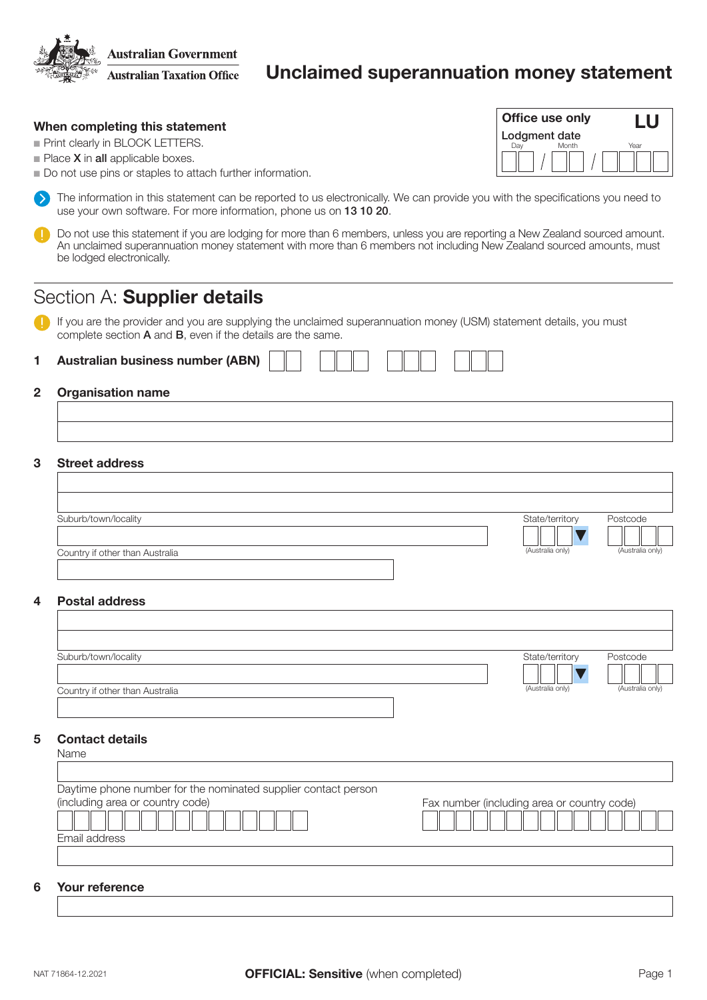**Australian Government**<br>Australian Taxation Office

# Unclaimed superannuation money statement

|                | When completing this statement                                                                                                                                                                                                                                                    | Office use only<br>Lodgment date            | LU               |
|----------------|-----------------------------------------------------------------------------------------------------------------------------------------------------------------------------------------------------------------------------------------------------------------------------------|---------------------------------------------|------------------|
|                | Print clearly in BLOCK LETTERS.                                                                                                                                                                                                                                                   | Day<br>Month                                | Year             |
|                | $\blacksquare$ Place <b>X</b> in all applicable boxes.<br>Do not use pins or staples to attach further information.                                                                                                                                                               |                                             |                  |
| $\rightarrow$  | The information in this statement can be reported to us electronically. We can provide you with the specifications you need to<br>use your own software. For more information, phone us on 13 10 20.                                                                              |                                             |                  |
| CL.            | Do not use this statement if you are lodging for more than 6 members, unless you are reporting a New Zealand sourced amount.<br>An unclaimed superannuation money statement with more than 6 members not including New Zealand sourced amounts, must<br>be lodged electronically. |                                             |                  |
|                | Section A: Supplier details                                                                                                                                                                                                                                                       |                                             |                  |
|                | If you are the provider and you are supplying the unclaimed superannuation money (USM) statement details, you must<br>complete section $A$ and $B$ , even if the details are the same.                                                                                            |                                             |                  |
| 1              | <b>Australian business number (ABN)</b>                                                                                                                                                                                                                                           |                                             |                  |
| $\overline{2}$ | <b>Organisation name</b>                                                                                                                                                                                                                                                          |                                             |                  |
|                |                                                                                                                                                                                                                                                                                   |                                             |                  |
|                |                                                                                                                                                                                                                                                                                   |                                             |                  |
| 3              | <b>Street address</b>                                                                                                                                                                                                                                                             |                                             |                  |
|                |                                                                                                                                                                                                                                                                                   |                                             |                  |
|                | Suburb/town/locality                                                                                                                                                                                                                                                              | State/territory                             | Postcode         |
|                |                                                                                                                                                                                                                                                                                   |                                             |                  |
|                | Country if other than Australia                                                                                                                                                                                                                                                   | (Australia only)                            | (Australia only) |
|                |                                                                                                                                                                                                                                                                                   |                                             |                  |
| 4              | <b>Postal address</b>                                                                                                                                                                                                                                                             |                                             |                  |
|                |                                                                                                                                                                                                                                                                                   |                                             |                  |
|                | Suburb/town/locality                                                                                                                                                                                                                                                              | State/territory                             | Postcode         |
|                |                                                                                                                                                                                                                                                                                   | (Australia only)                            | (Australia only) |
|                | Country if other than Australia                                                                                                                                                                                                                                                   |                                             |                  |
|                |                                                                                                                                                                                                                                                                                   |                                             |                  |
| 5              | <b>Contact details</b><br>Name                                                                                                                                                                                                                                                    |                                             |                  |
|                |                                                                                                                                                                                                                                                                                   |                                             |                  |
|                | Daytime phone number for the nominated supplier contact person<br>(including area or country code)                                                                                                                                                                                | Fax number (including area or country code) |                  |
|                |                                                                                                                                                                                                                                                                                   |                                             |                  |
|                | Email address                                                                                                                                                                                                                                                                     |                                             |                  |
|                |                                                                                                                                                                                                                                                                                   |                                             |                  |
| 6              | <b>Your reference</b>                                                                                                                                                                                                                                                             |                                             |                  |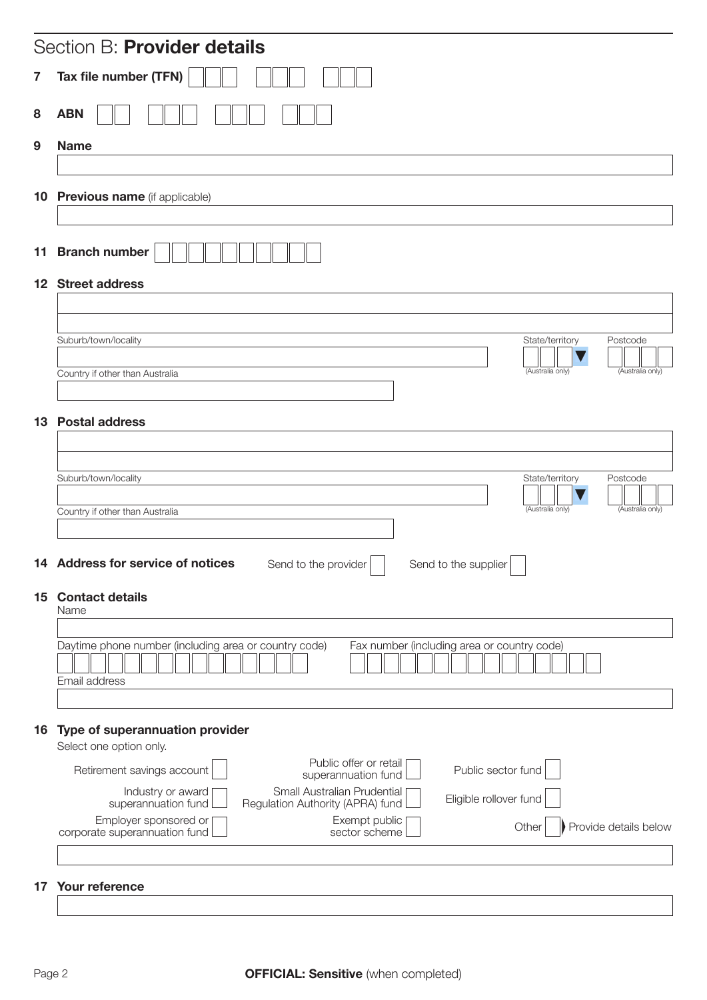|                 | Section B: Provider details                                                                                                           |
|-----------------|---------------------------------------------------------------------------------------------------------------------------------------|
| $\mathbf{7}$    | Tax file number (TFN)                                                                                                                 |
| 8               | <b>ABN</b>                                                                                                                            |
| 9               | <b>Name</b>                                                                                                                           |
|                 |                                                                                                                                       |
| 10 <sup>°</sup> | Previous name (if applicable)                                                                                                         |
|                 |                                                                                                                                       |
| 11              | <b>Branch number</b>                                                                                                                  |
|                 | 12 Street address                                                                                                                     |
|                 |                                                                                                                                       |
|                 | Suburb/town/locality<br>State/territory<br>Postcode                                                                                   |
|                 | (Australia only)<br>(Australia only)<br>Country if other than Australia                                                               |
|                 |                                                                                                                                       |
|                 | <b>13 Postal address</b>                                                                                                              |
|                 |                                                                                                                                       |
|                 | Suburb/town/locality<br>State/territory<br>Postcode                                                                                   |
|                 | (Australia only)<br>(Australia only)<br>Country if other than Australia                                                               |
|                 |                                                                                                                                       |
|                 | 14 Address for service of notices<br>Send to the provider<br>Send to the supplier                                                     |
|                 | 15 Contact details                                                                                                                    |
|                 | Name                                                                                                                                  |
|                 | Daytime phone number (including area or country code)<br>Fax number (including area or country code)                                  |
|                 | Email address                                                                                                                         |
|                 |                                                                                                                                       |
| 16              | Type of superannuation provider                                                                                                       |
|                 | Select one option only.<br>Public offer or retail                                                                                     |
|                 | Public sector fund<br>Retirement savings account<br>superannuation fund                                                               |
|                 | Small Australian Prudential<br>Industry or award<br>Eligible rollover fund<br>superannuation fund<br>Regulation Authority (APRA) fund |
|                 | Employer sponsored or<br>Exempt public<br>Provide details below<br>Other<br>corporate superannuation fund<br>sector scheme            |
|                 |                                                                                                                                       |
|                 | 17 Your reference                                                                                                                     |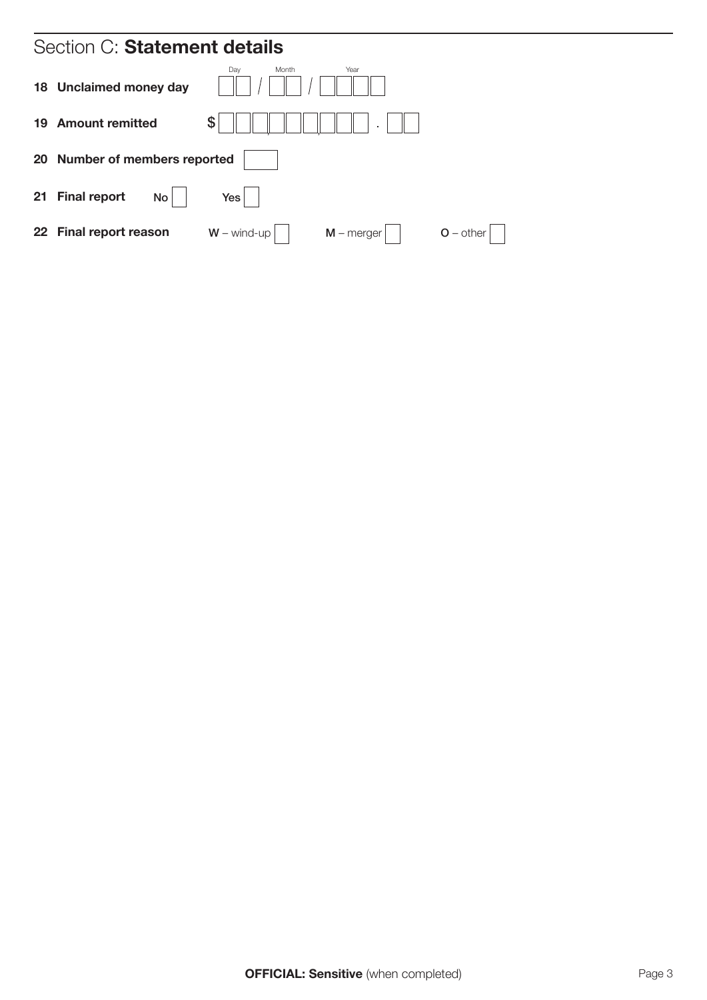## Section C: Statement details

|    | 18 Unclaimed money day           | Year<br>Dav<br>Month          |             |
|----|----------------------------------|-------------------------------|-------------|
| 19 | <b>Amount remitted</b>           | \$                            |             |
|    | 20 Number of members reported    |                               |             |
| 21 | <b>Final report</b><br><b>No</b> | Yes                           |             |
|    | 22 Final report reason           | $W -$ wind-up<br>$M$ – merger | $O$ – other |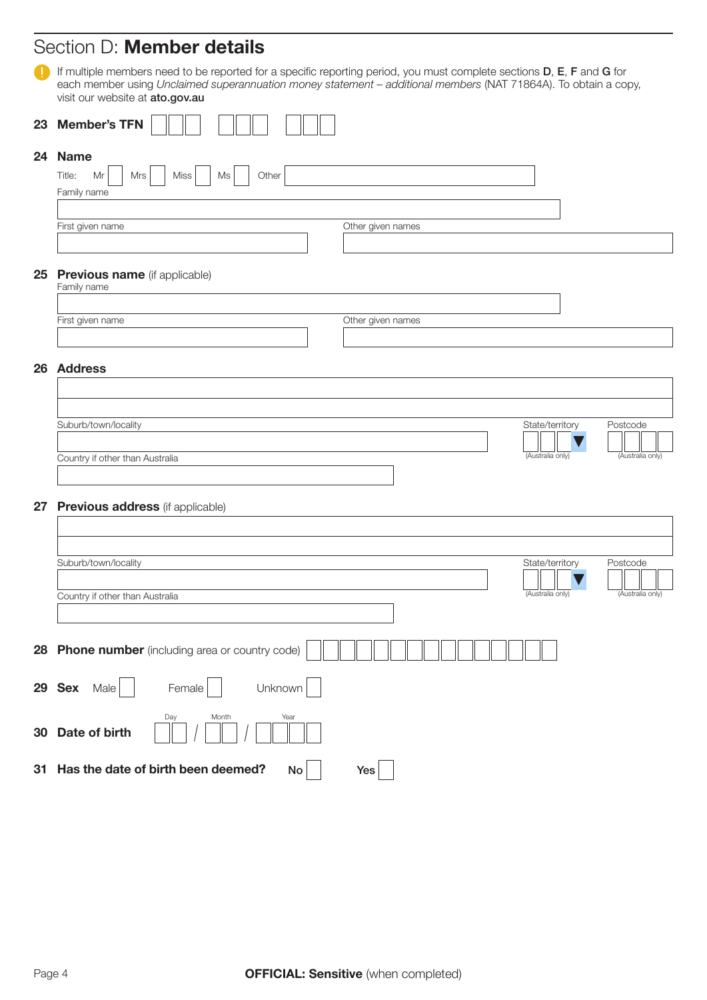## Section D: **Member details**

If multiple members need to be reported for a specific reporting period, you must complete sections D, E, F and G for each member using *Unclaimed superannuation money statement – additional members* (NAT 71864A). To obtain a copy, visit our website at ato.gov.au

|    | visit our website at <b>ato.gov.au</b>                               |                   |                                     |                              |
|----|----------------------------------------------------------------------|-------------------|-------------------------------------|------------------------------|
|    | 23 Member's TFN                                                      |                   |                                     |                              |
|    | 24 Name<br>Other<br>Title:<br>Miss<br>Mr<br>Mrs<br>Ms<br>Family name |                   |                                     |                              |
|    | First given name                                                     | Other given names |                                     |                              |
|    | 25 Previous name (if applicable)<br>Family name                      |                   |                                     |                              |
|    | First given name                                                     | Other given names |                                     |                              |
|    | 26 Address                                                           |                   |                                     |                              |
|    | Suburb/town/locality                                                 |                   | State/territory                     | Postcode                     |
|    | Country if other than Australia                                      |                   | (Australia only)                    | (Australia only)             |
| 27 | Previous address (if applicable)                                     |                   |                                     |                              |
|    | Suburb/town/locality<br>Country if other than Australia              |                   | State/territory<br>(Australia only) | Postcode<br>(Australia only) |
|    | 28 Phone number (including area or country code)                     |                   |                                     |                              |
|    | 29 Sex Male<br>Unknown<br>Female                                     |                   |                                     |                              |
| 30 | Month<br>Year<br>Day<br>Date of birth                                |                   |                                     |                              |
|    | 31 Has the date of birth been deemed?<br>Yes<br>No                   |                   |                                     |                              |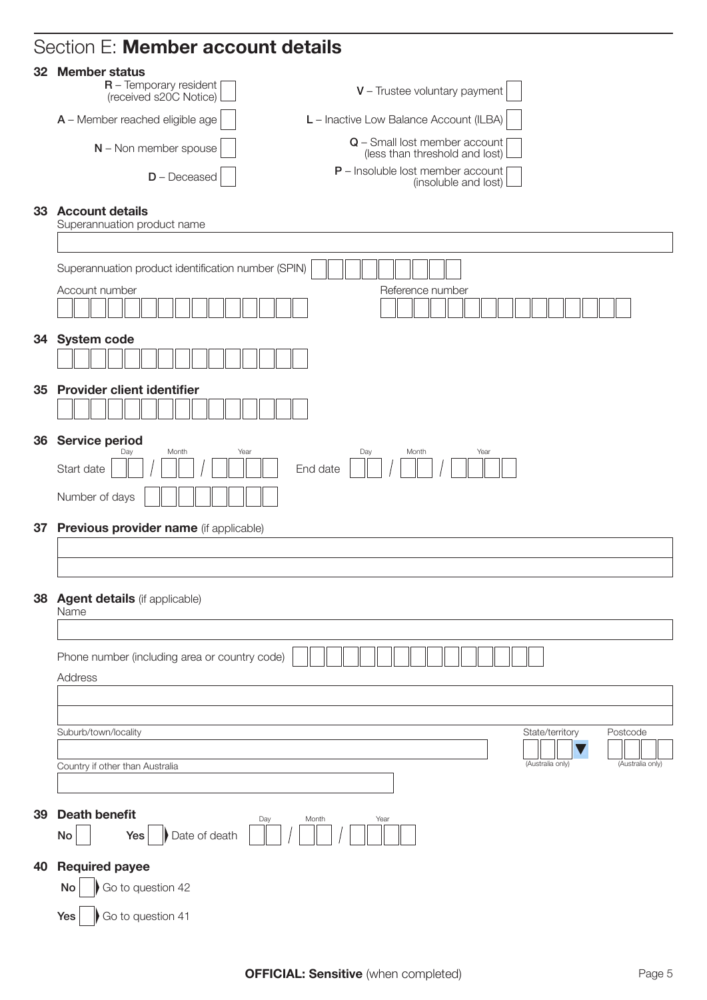### Section E: Member account details

### 32 Member status

| $R$ – Temporary resident $\Box$<br>(received s20C Notice) | $V$ – Trustee voluntary payment                                          |
|-----------------------------------------------------------|--------------------------------------------------------------------------|
| $A$ – Member reached eligible age                         | L - Inactive Low Balance Account (ILBA)                                  |
| $N -$ Non member spouse                                   | Q - Small lost member account [<br>(less than threshold and lost) $\Box$ |
| $D$ – Deceased                                            | $P$ – Insoluble lost member account [<br>(insoluble and lost) I          |

|    | 33 Account details<br>Superannuation product name                          |  |  |  |  |  |  |
|----|----------------------------------------------------------------------------|--|--|--|--|--|--|
|    |                                                                            |  |  |  |  |  |  |
|    | Superannuation product identification number (SPIN)                        |  |  |  |  |  |  |
|    | Account number<br>Reference number                                         |  |  |  |  |  |  |
|    |                                                                            |  |  |  |  |  |  |
|    | 34 System code                                                             |  |  |  |  |  |  |
|    | 35 Provider client identifier                                              |  |  |  |  |  |  |
|    |                                                                            |  |  |  |  |  |  |
| 36 | Service period<br>Month<br>Year<br>Month<br>Year                           |  |  |  |  |  |  |
|    | Day<br>Day<br>End date<br>Start date                                       |  |  |  |  |  |  |
|    | Number of days                                                             |  |  |  |  |  |  |
| 37 |                                                                            |  |  |  |  |  |  |
|    | Previous provider name (if applicable)                                     |  |  |  |  |  |  |
|    |                                                                            |  |  |  |  |  |  |
|    |                                                                            |  |  |  |  |  |  |
|    | 38 Agent details (if applicable)<br>Name                                   |  |  |  |  |  |  |
|    |                                                                            |  |  |  |  |  |  |
|    | Phone number (including area or country code)                              |  |  |  |  |  |  |
|    | Address                                                                    |  |  |  |  |  |  |
|    |                                                                            |  |  |  |  |  |  |
|    |                                                                            |  |  |  |  |  |  |
|    | Suburb/town/locality<br>State/territory<br>Postcode                        |  |  |  |  |  |  |
|    | (Australia only)<br>(Australia only)<br>Country if other than Australia    |  |  |  |  |  |  |
|    |                                                                            |  |  |  |  |  |  |
|    |                                                                            |  |  |  |  |  |  |
| 39 | <b>Death benefit</b><br>Day<br>Month<br>Year<br>Date of death<br>No<br>Yes |  |  |  |  |  |  |
| 40 | <b>Required payee</b>                                                      |  |  |  |  |  |  |
|    | Go to question 42<br>No                                                    |  |  |  |  |  |  |
|    | Go to question 41<br>Yes                                                   |  |  |  |  |  |  |
|    |                                                                            |  |  |  |  |  |  |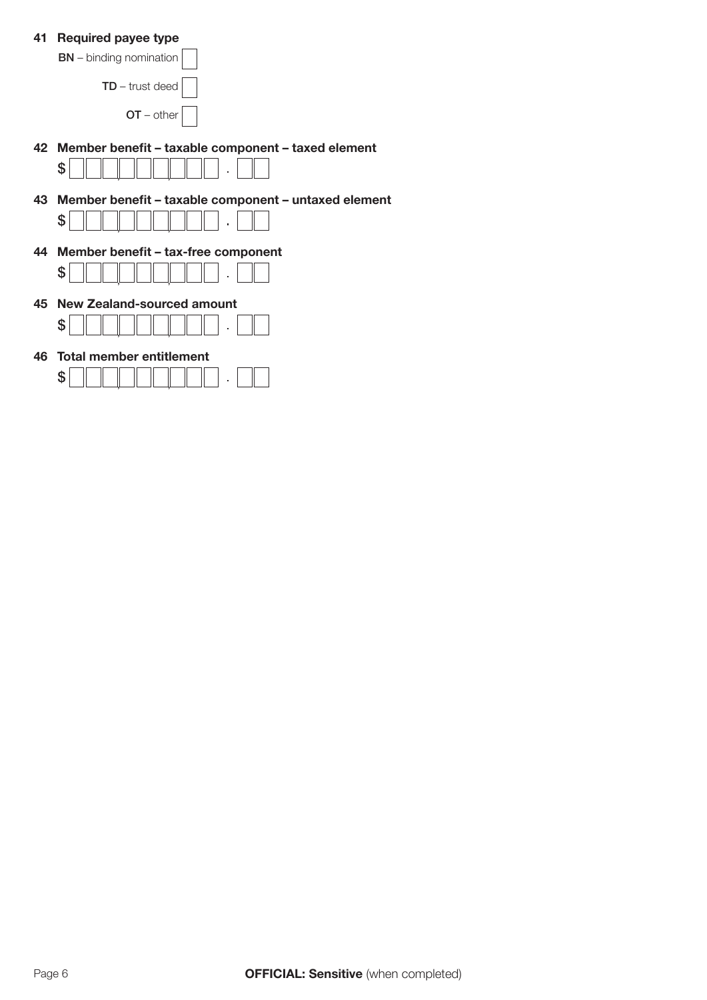#### 41 Required payee type

| $BN - binding$ nomination                             |
|-------------------------------------------------------|
| $TD$ – trust deed                                     |
| $OT$ – other $\vert \ \ \vert$                        |
| 42 Member benefit – taxable component – taxed element |
|                                                       |

43 Member benefit – taxable component – untaxed element



44 Member benefit – tax-free component

| Ъ. |  |  |  |  |  |  |  |  |  |  |  |  |  |
|----|--|--|--|--|--|--|--|--|--|--|--|--|--|
|----|--|--|--|--|--|--|--|--|--|--|--|--|--|

45 New Zealand-sourced amount



46 Total member entitlement

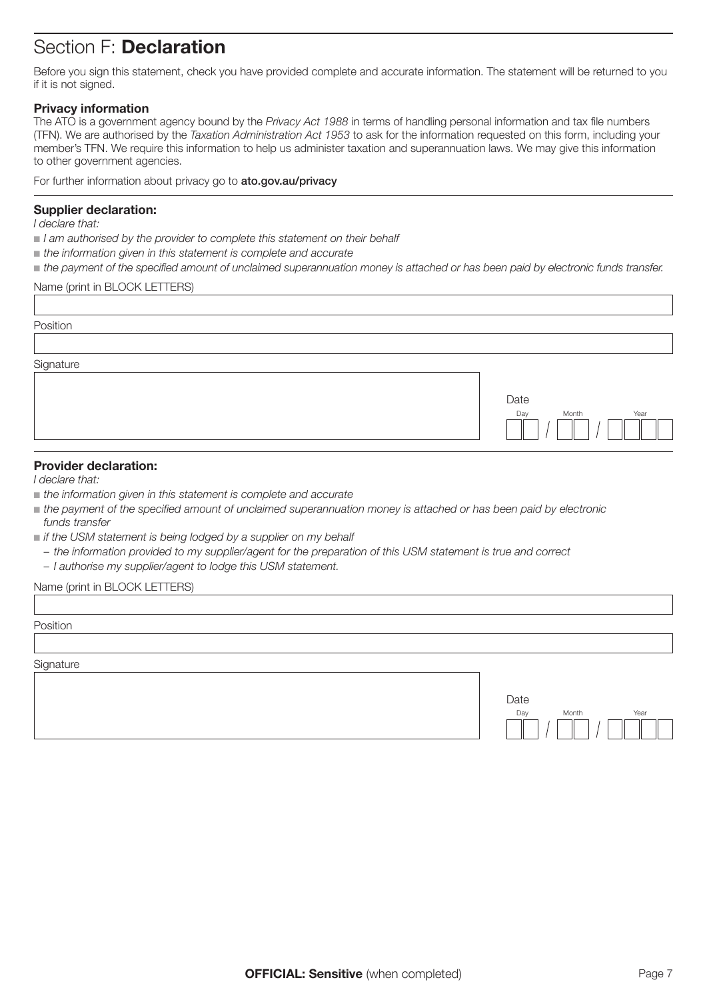### Section F: Declaration

Before you sign this statement, check you have provided complete and accurate information. The statement will be returned to you if it is not signed.

#### Privacy information

The ATO is a government agency bound by the *Privacy Act 1988* in terms of handling personal information and tax file numbers (TFN). We are authorised by the *Taxation Administration Act 1953* to ask for the information requested on this form, including your member's TFN. We require this information to help us administer taxation and superannuation laws. We may give this information to other government agencies.

For further information about privacy go to ato.gov.au/privacy

#### Supplier declaration:

*I declare that:*

- $\blacksquare$  *I am authorised by the provider to complete this statement on their behalf*
- $\blacksquare$  the information given in this statement is complete and accurate

 $\blacksquare$  the payment of the specified amount of unclaimed superannuation money is attached or has been paid by electronic funds transfer.

#### Name (print in BLOCK LETTERS)

Position

**Signature** 

#### Provider declaration:

*I declare that:*

- $\blacksquare$  the information given in this statement is complete and accurate
- $\blacksquare$  the payment of the specified amount of unclaimed superannuation money is attached or has been paid by electronic funds transfer
- $\blacksquare$  *if the USM statement is being lodged by a supplier on my behalf* 
	- *the information provided to my supplier/agent for the preparation of this USM statement is true and correct*
	- I authorise my supplier/agent to lodge this USM statement.

#### Name (print in BLOCK LETTERS)

Position

**Signature** 

| Date |       |  |      |  |
|------|-------|--|------|--|
| Day  | Month |  | Year |  |
|      |       |  |      |  |

Day Month Year

Date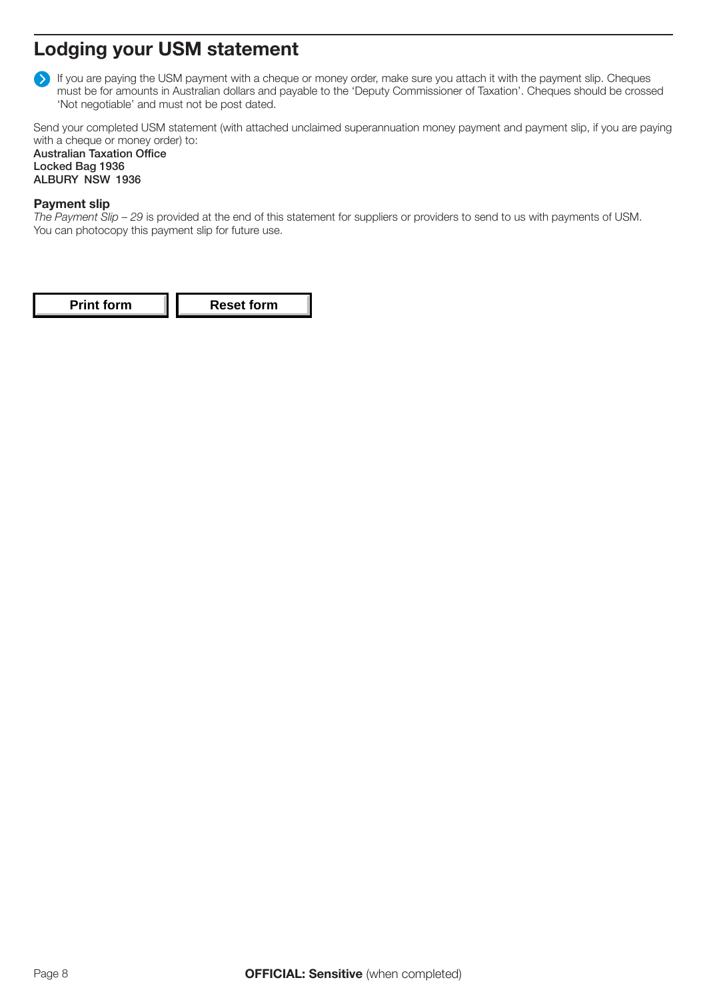### Lodging your USM statement

If you are paying the USM payment with a cheque or money order, make sure you attach it with the payment slip. Cheques must be for amounts in Australian dollars and payable to the 'Deputy Commissioner of Taxation'. Cheques should be crossed 'Not negotiable' and must not be post dated.

Send your completed USM statement (with attached unclaimed superannuation money payment and payment slip, if you are paying with a cheque or money order) to: Australian Taxation Office

Locked Bag 1936 ALBURY NSW 1936

#### Payment slip

*The Payment Slip – 29* is provided at the end of this statement for suppliers or providers to send to us with payments of USM. You can photocopy this payment slip for future use.

**Print form II** Reset form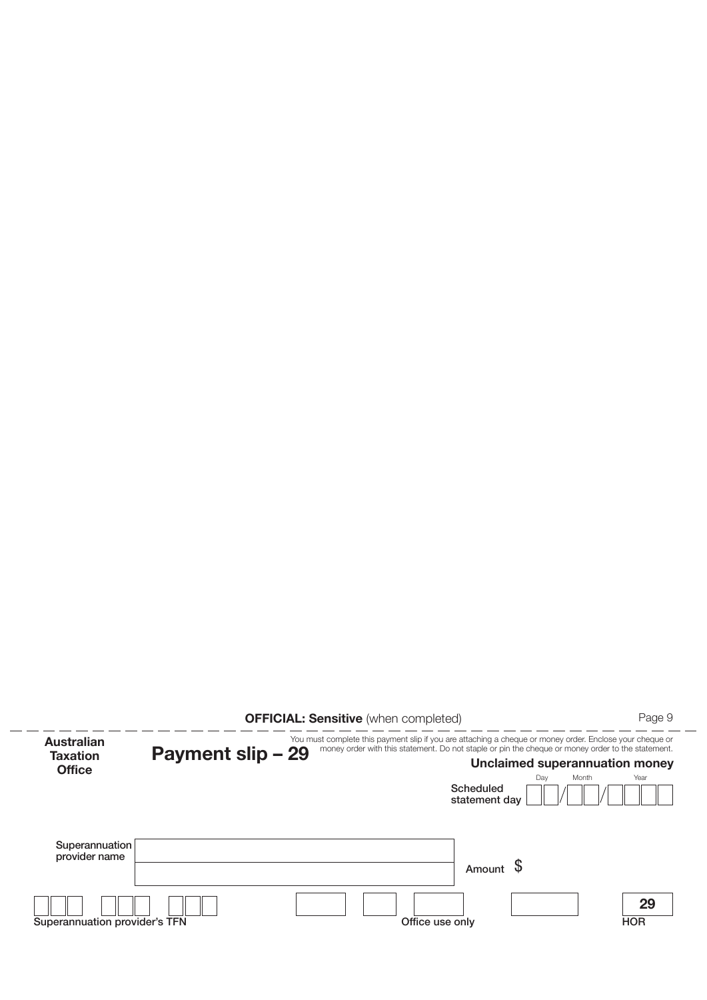**OFFICIAL: Sensitive** (when completed) **Page 9** Page 9

Payment slip - 29 Superannuation provider name Scheduled statement day Amount \$ Day Month Year Superannuation provider's TFN Unclaimed superannuation money 29 Australian **Taxation Office HOR** You must complete this payment slip if you are attaching a cheque or money order. Enclose your cheque or money order with this statement. Do not staple or pin the cheque or money order to the statement. Office use only